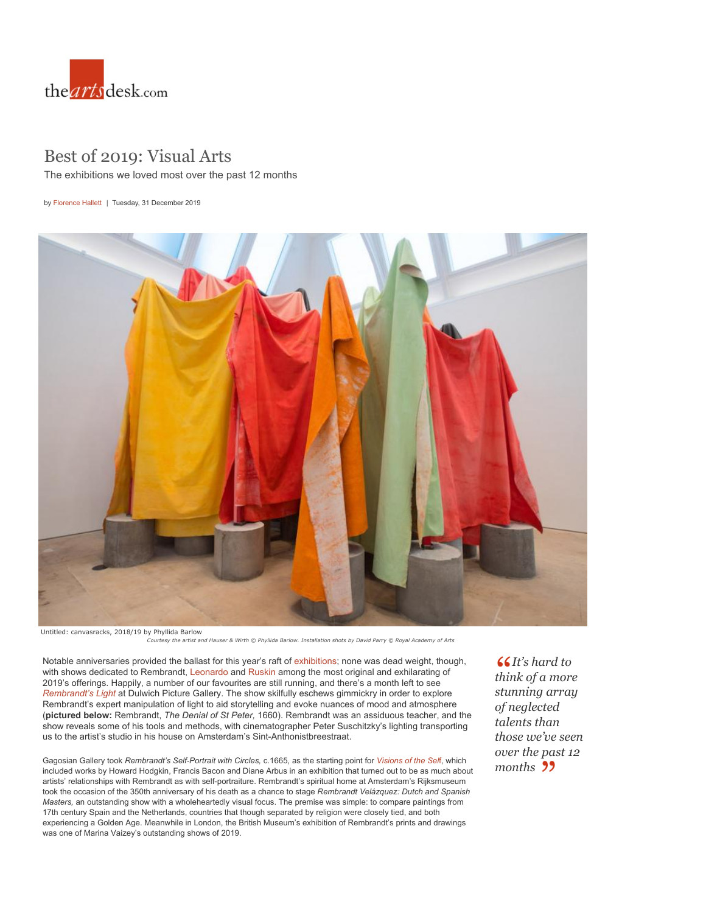

## Best of 2019: Visual Arts

The exhibitions we loved most over the past 12 months

by [Florence Hallett](https://theartsdesk.com/users/florence-hallett) | Tuesday, 31 December 2019



*Courtesy the artist and Hauser & Wirth © Phyllida Barlow. Installation shots by David Parry © Royal Academy of Arts*

Notable anniversaries provided the ballast for this year's raft of [exhibitions](https://theartsdesk.com/visual-arts); none was dead weight, though, with shows dedicated to Rembrandt, [Leonardo](https://theartsdesk.com/visual-arts/leonardo-da-vinci-life-drawing-queens-gallery-review-peerless-drawings-rarely-seen) and [Ruskin](https://theartsdesk.com/visual-arts/john-ruskin-power-seeing-two-temple-place-review-inside-mind-visionary) among the most original and exhilarating of 2019's offerings. Happily, a number of our favourites are still running, and there's a month left to see *[Rembrandt's Light](https://theartsdesk.com/visual-arts/rembrandts-light-dulwich-picture-gallery-review-film-maker-out-time)* at Dulwich Picture Gallery. The show skilfully eschews gimmickry in order to explore Rembrandt's expert manipulation of light to aid storytelling and evoke nuances of mood and atmosphere (**pictured below:** Rembrandt, *The Denial of St Peter,* 1660). Rembrandt was an assiduous teacher, and t[he](https://theartsdesk.com/visual-arts/best-exhibitions-london)  show reveals some of his tools and methods, with cinematographer Peter Suschitzky's lighting transporting us to the artist's studio in his house on Amsterdam's Sint-Anthonistbreestraat.

Gagosian Gallery took *Rembrandt's Self-Portrait with Circles,* c.1665, as the starting point for *[Visions of the Sel](https://theartsdesk.com/visual-arts/visions-self-rembrandt-and-now-gagosian-gallery-review-old-master-new-ways)*f, which included works by Howard Hodgkin, Francis Bacon and Diane Arbus in an exhibition that turned out to be as much ab[out](https://theartsdesk.com/visual-arts/george-stubbs-all-done-nature-mk-gallery-review-glorious-menagerie)  artists' relationships with Rembrandt as with self-portraiture. Rembrandt's spiritual home at Amsterdam's Rijksmuseum took the occasion of the 350th anniversary of his death as a chance to stage *Rembrandt Velázquez: Dutch and Spanish Masters,* an outstanding show with a wholeheartedly visual focus. The premise was simple: to compare paintings from 17th century Spain and the Netherlands, countries that though separated by religion were closely tied, and both experiencing a Golden Age. Meanwhile in London, the British Museum's exhibition of Re[mbrandt](https://theartsdesk.com/topics/british-museum)'s pri[nts and d](https://theartsdesk.com/topics/dulwich-picture-gallery)rawing[s](https://theartsdesk.com/visual-arts/lucian-freud-self-portraits-royal-academy-review-mesmerising-intensity)  was one of Marina Vaizey's outstanding shows of 2019.

*[It's hard to](https://theartsdesk.com/visual-arts/tutankhamun-treasures-golden-pharaoh-saatchi-gallery-review-worth-its-weight) [th](https://theartsdesk.com/visual-arts/tutankhamun-treasures-golden-pharaoh-saatchi-gallery-review-worth-its-weight)ink of a more stunning array [of neglected](https://theartsdesk.com/visual-arts/best-exhibitions-london) talents than those we've seen over the past 12 [months](https://theartsdesk.com/visual-arts/george-stubbs-all-done-nature-mk-gallery-review-glorious-menagerie)*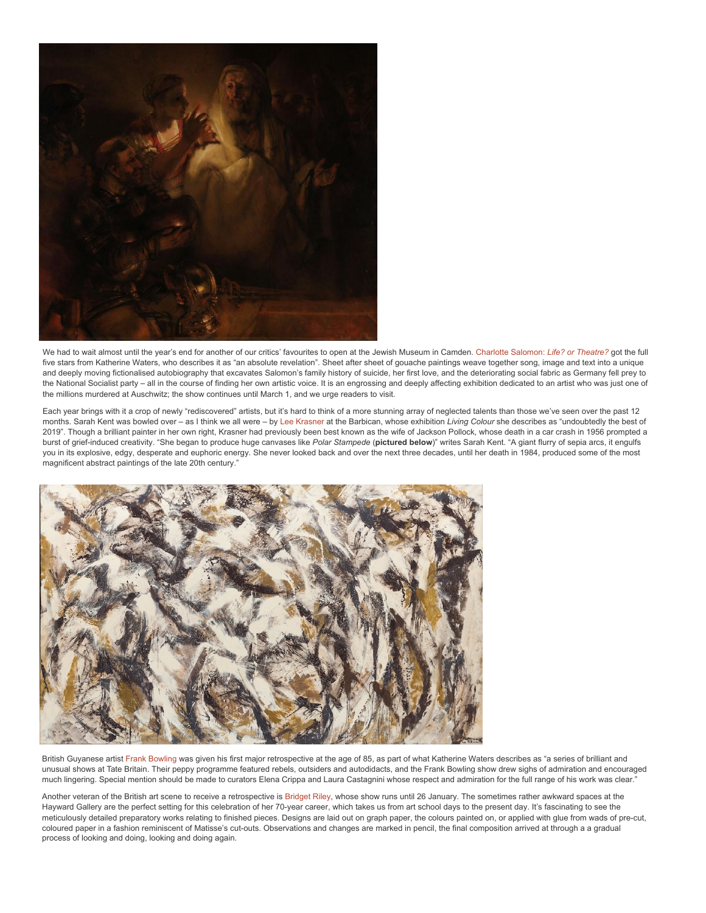

We had to wait almost until the year's end for another of our critics' favourites to open at the Jewish Museum in Camd[en.](https://twitter.com/intent/follow?original_referer=https%3A%2F%2Ftheartsdesk.com%2Fbest-exhibitions-2019-5&ref_src=twsrc%5Etfw®ion=follow_link&screen_name=theartsdesk&tw_p=followbutton) [Charlotte Salomon:](https://theartsdesk.com/visual-arts/charlotte-salomon-life-or-theatre-jewish-museum-london-review-rallying-against-death) *Life? or Theatre?* got the full five stars from Katherine Waters, who describes it as "an absolute revelation". Sheet after sheet of gouache paintings weave together song, image and text into a unique and deeply moving fictionalised autobiography that excavates Salomon's family history of suicide, her first love, and the deteriorating social fabric as Germany fell prey to the National Socialist party – all in the course of finding her own artistic voice. It is an engrossing and deeply affecting exhibition dedicated to an artist who was just one of the millions murdered at Auschwitz; the show continues until March 1, and we urge readers to visit.

Each year brings with it a crop of newly "rediscovered" artists, but it's hard to think of a more stunning array of neglected talents than those we've seen over the past 12 months. Sarah Kent was bowled over – as I think we all were – by [Lee Krasner](https://theartsdesk.com/visual-arts/lee-krasner-living-colour-barbican-review-jaw-droppingly-good) at the Barbican, whose exhibition *Living Colour* she describes as "undoubtedly the best of 2019". Though a brilliant painter in her own right, Krasner had previously been best known as the wife of Jackson Pollock, whose death in a car crash in 1956 prompted a burst of grief-induced creativity. "She began to produce huge canvases like *Polar Stampede* (**pictured below**)" writes Sarah Kent. "A giant flurry of sepia arcs, it engulfs you in its explosive, edgy, desperate and euphoric energy. She never looked back and over the next three decades, until her death in 1984, produced some of the most magnificent abstract paintings of the late 20th century."



British Guyanese artist [Frank Bowling](https://theartsdesk.com/visual-arts/frank-bowling-tate-britain-review-marvel) was given his first major retrospective at the age of 85, as part of what Katherine Waters describes as "a series of brilliant and unusual shows at Tate Britain. Their peppy programme featured rebels, outsiders and autodidacts, and the Frank Bowling show drew sighs of admiration and encouraged much lingering. Special mention should be made to curators Elena Crippa and Laura Castagnini whose respect and admiration for the full range of his work was clear."

Another veteran of the British art scene to receive a retrospective is [Bridget Riley,](https://theartsdesk.com/visual-arts/bridget-riley-hayward-gallery-review-thrill-seeing) whose show runs until 26 January. The sometimes rather awkward spaces at the Hayward Gallery are the perfect setting for this celebration of her 70-year career, which takes us from art school days to the present day. It's fascinating to see the meticulously detailed preparatory works relating to finished pieces. Designs are laid out on graph paper, the colours painted on, or applied with glue from wads of pre-cut, coloured paper in a fashion reminiscent of Matisse's cut-outs. Observations and changes are marked in pencil, the final composition arrived at through a a gradual process of looking and doing, looking and doing again.